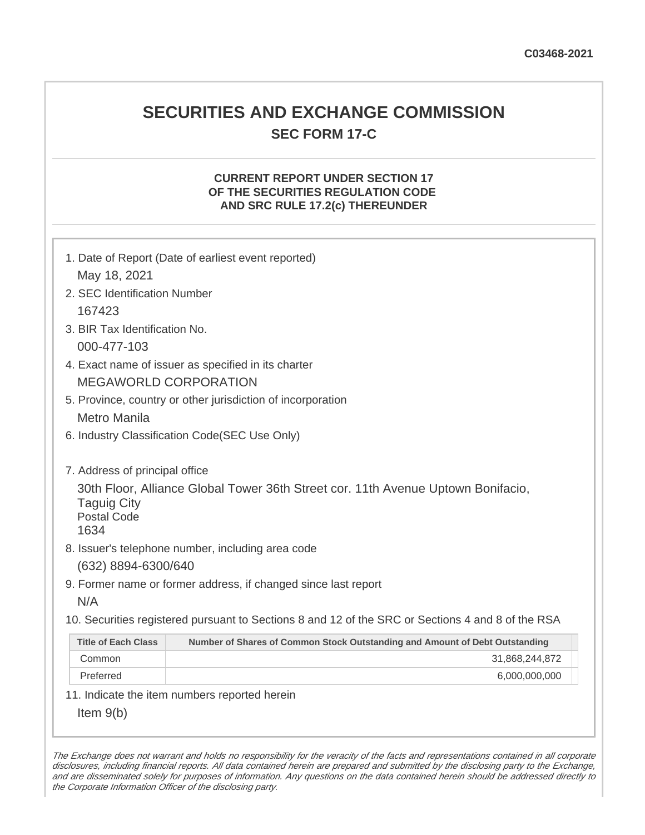# **SECURITIES AND EXCHANGE COMMISSION SEC FORM 17-C**

## **CURRENT REPORT UNDER SECTION 17 OF THE SECURITIES REGULATION CODE AND SRC RULE 17.2(c) THEREUNDER**

| May 18, 2021                                                                       | 1. Date of Report (Date of earliest event reported)                                               |  |
|------------------------------------------------------------------------------------|---------------------------------------------------------------------------------------------------|--|
| 2. SEC Identification Number                                                       |                                                                                                   |  |
| 167423                                                                             |                                                                                                   |  |
| 3. BIR Tax Identification No.                                                      |                                                                                                   |  |
| 000-477-103                                                                        |                                                                                                   |  |
| 4. Exact name of issuer as specified in its charter                                |                                                                                                   |  |
| <b>MEGAWORLD CORPORATION</b>                                                       |                                                                                                   |  |
| 5. Province, country or other jurisdiction of incorporation                        |                                                                                                   |  |
| <b>Metro Manila</b>                                                                |                                                                                                   |  |
| 6. Industry Classification Code(SEC Use Only)                                      |                                                                                                   |  |
| 7. Address of principal office<br><b>Taguig City</b><br><b>Postal Code</b><br>1634 | 30th Floor, Alliance Global Tower 36th Street cor. 11th Avenue Uptown Bonifacio,                  |  |
|                                                                                    | 8. Issuer's telephone number, including area code                                                 |  |
| (632) 8894-6300/640                                                                |                                                                                                   |  |
|                                                                                    | 9. Former name or former address, if changed since last report                                    |  |
| N/A                                                                                |                                                                                                   |  |
|                                                                                    | 10. Securities registered pursuant to Sections 8 and 12 of the SRC or Sections 4 and 8 of the RSA |  |
| <b>Title of Each Class</b>                                                         | Number of Shares of Common Stock Outstanding and Amount of Debt Outstanding                       |  |
| Common                                                                             | 31,868,244,872                                                                                    |  |
| Preferred                                                                          | 6,000,000,000                                                                                     |  |
|                                                                                    | 11. Indicate the item numbers reported herein                                                     |  |
| Item $9(b)$                                                                        |                                                                                                   |  |

The Exchange does not warrant and holds no responsibility for the veracity of the facts and representations contained in all corporate disclosures, including financial reports. All data contained herein are prepared and submitted by the disclosing party to the Exchange, and are disseminated solely for purposes of information. Any questions on the data contained herein should be addressed directly to the Corporate Information Officer of the disclosing party.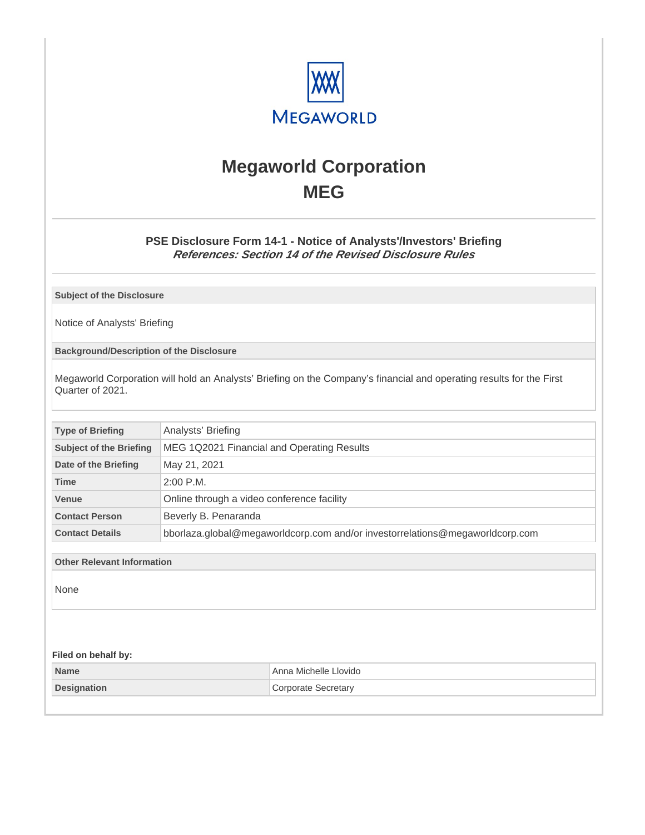

# **Megaworld Corporation MEG**

## **PSE Disclosure Form 14-1 - Notice of Analysts'/Investors' Briefing References: Section 14 of the Revised Disclosure Rules**

**Subject of the Disclosure**

Notice of Analysts' Briefing

**Background/Description of the Disclosure**

Megaworld Corporation will hold an Analysts' Briefing on the Company's financial and operating results for the First Quarter of 2021.

| <b>Type of Briefing</b>        | Analysts' Briefing                                                           |  |
|--------------------------------|------------------------------------------------------------------------------|--|
| <b>Subject of the Briefing</b> | MEG 1Q2021 Financial and Operating Results                                   |  |
| Date of the Briefing           | May 21, 2021                                                                 |  |
| Time                           | $2:00$ P.M.                                                                  |  |
| <b>Venue</b>                   | Online through a video conference facility                                   |  |
| <b>Contact Person</b>          | Beverly B. Penaranda                                                         |  |
| <b>Contact Details</b>         | bborlaza.global@megaworldcorp.com and/or investorrelations@megaworldcorp.com |  |

**Other Relevant Information**

None

#### **Filed on behalf by:**

| <b>Name</b>        | Anna Michelle Llovido |
|--------------------|-----------------------|
| <b>Designation</b> | Corporate Secretary   |
|                    |                       |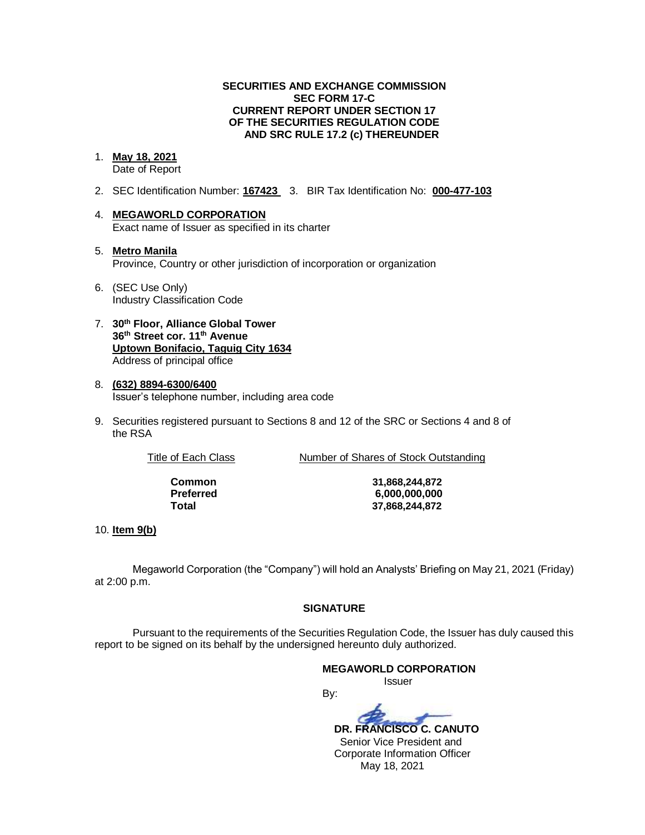#### **SECURITIES AND EXCHANGE COMMISSION SEC FORM 17-C CURRENT REPORT UNDER SECTION 17 OF THE SECURITIES REGULATION CODE AND SRC RULE 17.2 (c) THEREUNDER**

# 1. **May 18, 2021**

Date of Report

- 2. SEC Identification Number: **167423** 3. BIR Tax Identification No: **000-477-103**
- 4. **MEGAWORLD CORPORATION** Exact name of Issuer as specified in its charter
- 5. **Metro Manila** Province, Country or other jurisdiction of incorporation or organization
- 6. (SEC Use Only) Industry Classification Code
- 7. **30th Floor, Alliance Global Tower 36th Street cor. 11th Avenue Uptown Bonifacio, Taguig City 1634** Address of principal office
- 8. **(632) 8894-6300/6400** Issuer's telephone number, including area code
- 9. Securities registered pursuant to Sections 8 and 12 of the SRC or Sections 4 and 8 of the RSA

Title of Each Class Number of Shares of Stock Outstanding

**Common 31,868,244,872 Preferred 6,000,000,000 Total 37,868,244,872**

10. **Item 9(b)**

Megaworld Corporation (the "Company") will hold an Analysts' Briefing on May 21, 2021 (Friday) at 2:00 p.m.

### **SIGNATURE**

Pursuant to the requirements of the Securities Regulation Code, the Issuer has duly caused this report to be signed on its behalf by the undersigned hereunto duly authorized.

#### **MEGAWORLD CORPORATION**

Issuer

By:

 **DR. FRANCISCO C. CANUTO**

 Senior Vice President and Corporate Information Officer May 18, 2021